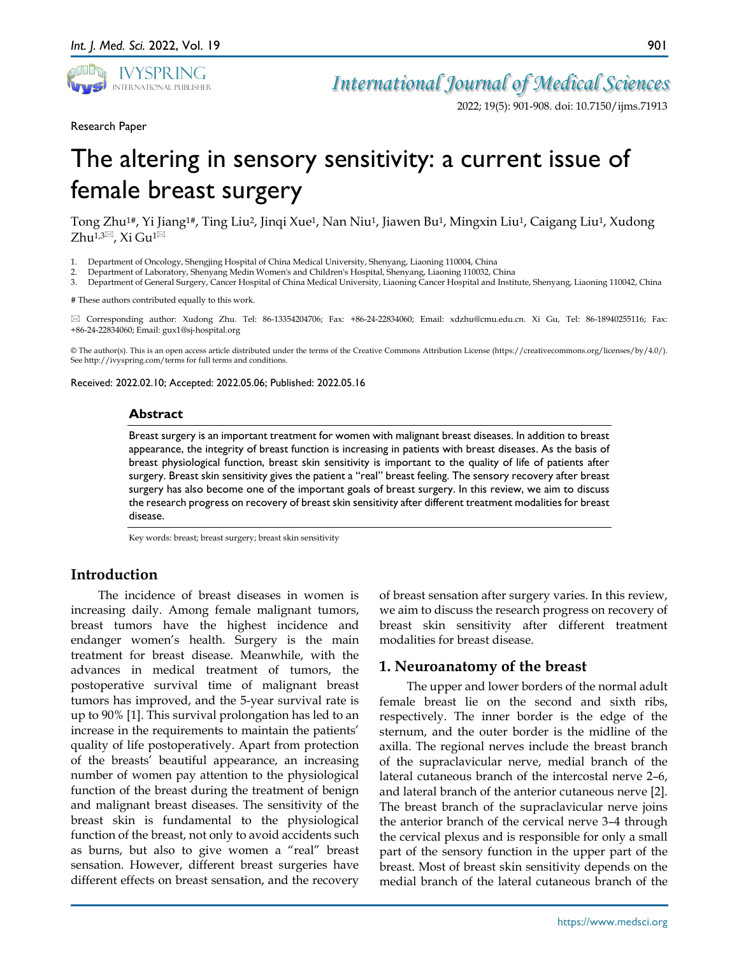

2022; 19(5): 901-908. doi: 10.7150/ijms.71913

901

Research Paper

# The altering in sensory sensitivity: a current issue of female breast surgery

Tong Zhu1#, Yi Jiang1#, Ting Liu2, Jinqi Xue1, Nan Niu1, Jiawen Bu1, Mingxin Liu1, Caigang Liu1, Xudong  $Zhu^{1,3}$ , Xi Gu<sup>1 $\boxtimes$ </sup>

- 1. Department of Oncology, Shengjing Hospital of China Medical University, Shenyang, Liaoning 110004, China
- 2. Department of Laboratory, Shenyang Medin Women's and Children's Hospital, Shenyang, Liaoning 110032, China
- 3. Department of General Surgery, Cancer Hospital of China Medical University, Liaoning Cancer Hospital and Institute, Shenyang, Liaoning 110042, China

# These authors contributed equally to this work.

 Corresponding author: Xudong Zhu. Tel: 86-13354204706; Fax: +86-24-22834060; Email: xdzhu@cmu.edu.cn. Xi Gu, Tel: 86-18940255116; Fax: +86-24-22834060; Email: gux1@sj-hospital.org

© The author(s). This is an open access article distributed under the terms of the Creative Commons Attribution License (https://creativecommons.org/licenses/by/4.0/). See http://ivyspring.com/terms for full terms and conditions.

Received: 2022.02.10; Accepted: 2022.05.06; Published: 2022.05.16

#### **Abstract**

Breast surgery is an important treatment for women with malignant breast diseases. In addition to breast appearance, the integrity of breast function is increasing in patients with breast diseases. As the basis of breast physiological function, breast skin sensitivity is important to the quality of life of patients after surgery. Breast skin sensitivity gives the patient a "real" breast feeling. The sensory recovery after breast surgery has also become one of the important goals of breast surgery. In this review, we aim to discuss the research progress on recovery of breast skin sensitivity after different treatment modalities for breast disease.

Key words: breast; breast surgery; breast skin sensitivity

## **Introduction**

The incidence of breast diseases in women is increasing daily. Among female malignant tumors, breast tumors have the highest incidence and endanger women's health. Surgery is the main treatment for breast disease. Meanwhile, with the advances in medical treatment of tumors, the postoperative survival time of malignant breast tumors has improved, and the 5-year survival rate is up to 90% [1]. This survival prolongation has led to an increase in the requirements to maintain the patients' quality of life postoperatively. Apart from protection of the breasts' beautiful appearance, an increasing number of women pay attention to the physiological function of the breast during the treatment of benign and malignant breast diseases. The sensitivity of the breast skin is fundamental to the physiological function of the breast, not only to avoid accidents such as burns, but also to give women a "real" breast sensation. However, different breast surgeries have different effects on breast sensation, and the recovery

of breast sensation after surgery varies. In this review, we aim to discuss the research progress on recovery of breast skin sensitivity after different treatment modalities for breast disease.

#### **1. Neuroanatomy of the breast**

The upper and lower borders of the normal adult female breast lie on the second and sixth ribs, respectively. The inner border is the edge of the sternum, and the outer border is the midline of the axilla. The regional nerves include the breast branch of the supraclavicular nerve, medial branch of the lateral cutaneous branch of the intercostal nerve 2–6, and lateral branch of the anterior cutaneous nerve [2]. The breast branch of the supraclavicular nerve joins the anterior branch of the cervical nerve 3–4 through the cervical plexus and is responsible for only a small part of the sensory function in the upper part of the breast. Most of breast skin sensitivity depends on the medial branch of the lateral cutaneous branch of the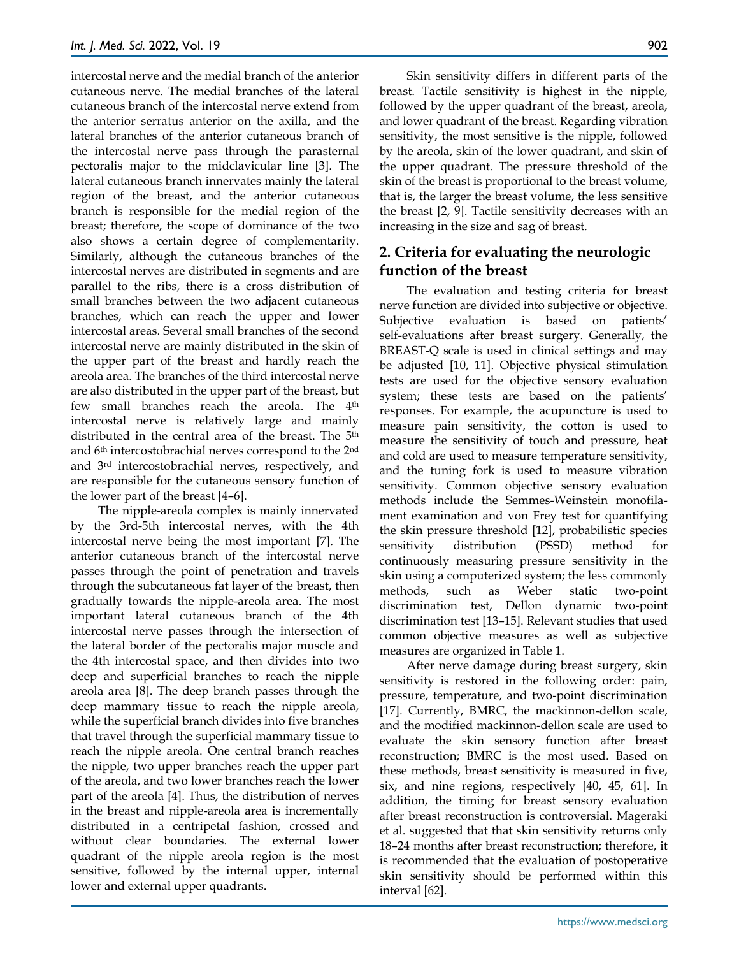intercostal nerve and the medial branch of the anterior cutaneous nerve. The medial branches of the lateral cutaneous branch of the intercostal nerve extend from the anterior serratus anterior on the axilla, and the lateral branches of the anterior cutaneous branch of the intercostal nerve pass through the parasternal pectoralis major to the midclavicular line [3]. The lateral cutaneous branch innervates mainly the lateral region of the breast, and the anterior cutaneous branch is responsible for the medial region of the breast; therefore, the scope of dominance of the two also shows a certain degree of complementarity. Similarly, although the cutaneous branches of the intercostal nerves are distributed in segments and are parallel to the ribs, there is a cross distribution of small branches between the two adjacent cutaneous branches, which can reach the upper and lower intercostal areas. Several small branches of the second intercostal nerve are mainly distributed in the skin of the upper part of the breast and hardly reach the areola area. The branches of the third intercostal nerve are also distributed in the upper part of the breast, but few small branches reach the areola. The 4<sup>th</sup> intercostal nerve is relatively large and mainly distributed in the central area of the breast. The 5th and 6th intercostobrachial nerves correspond to the 2nd and 3rd intercostobrachial nerves, respectively, and are responsible for the cutaneous sensory function of the lower part of the breast [4–6].

The nipple-areola complex is mainly innervated by the 3rd-5th intercostal nerves, with the 4th intercostal nerve being the most important [7]. The anterior cutaneous branch of the intercostal nerve passes through the point of penetration and travels through the subcutaneous fat layer of the breast, then gradually towards the nipple-areola area. The most important lateral cutaneous branch of the 4th intercostal nerve passes through the intersection of the lateral border of the pectoralis major muscle and the 4th intercostal space, and then divides into two deep and superficial branches to reach the nipple areola area [8]. The deep branch passes through the deep mammary tissue to reach the nipple areola, while the superficial branch divides into five branches that travel through the superficial mammary tissue to reach the nipple areola. One central branch reaches the nipple, two upper branches reach the upper part of the areola, and two lower branches reach the lower part of the areola [4]. Thus, the distribution of nerves in the breast and nipple-areola area is incrementally distributed in a centripetal fashion, crossed and without clear boundaries. The external lower quadrant of the nipple areola region is the most sensitive, followed by the internal upper, internal lower and external upper quadrants.

Skin sensitivity differs in different parts of the breast. Tactile sensitivity is highest in the nipple, followed by the upper quadrant of the breast, areola, and lower quadrant of the breast. Regarding vibration sensitivity, the most sensitive is the nipple, followed by the areola, skin of the lower quadrant, and skin of the upper quadrant. The pressure threshold of the skin of the breast is proportional to the breast volume, that is, the larger the breast volume, the less sensitive the breast [2, 9]. Tactile sensitivity decreases with an increasing in the size and sag of breast.

# **2. Criteria for evaluating the neurologic function of the breast**

The evaluation and testing criteria for breast nerve function are divided into subjective or objective. Subjective evaluation is based on patients' self-evaluations after breast surgery. Generally, the BREAST-Q scale is used in clinical settings and may be adjusted [10, 11]. Objective physical stimulation tests are used for the objective sensory evaluation system; these tests are based on the patients' responses. For example, the acupuncture is used to measure pain sensitivity, the cotton is used to measure the sensitivity of touch and pressure, heat and cold are used to measure temperature sensitivity, and the tuning fork is used to measure vibration sensitivity. Common objective sensory evaluation methods include the Semmes-Weinstein monofilament examination and von Frey test for quantifying the skin pressure threshold [12], probabilistic species sensitivity distribution (PSSD) method for continuously measuring pressure sensitivity in the skin using a computerized system; the less commonly methods, such as Weber static two-point discrimination test, Dellon dynamic two-point discrimination test [13–15]. Relevant studies that used common objective measures as well as subjective measures are organized in Table 1.

After nerve damage during breast surgery, skin sensitivity is restored in the following order: pain, pressure, temperature, and two-point discrimination [17]. Currently, BMRC, the mackinnon-dellon scale, and the modified mackinnon-dellon scale are used to evaluate the skin sensory function after breast reconstruction; BMRC is the most used. Based on these methods, breast sensitivity is measured in five, six, and nine regions, respectively [40, 45, 61]. In addition, the timing for breast sensory evaluation after breast reconstruction is controversial. Mageraki et al. suggested that that skin sensitivity returns only 18–24 months after breast reconstruction; therefore, it is recommended that the evaluation of postoperative skin sensitivity should be performed within this interval [62].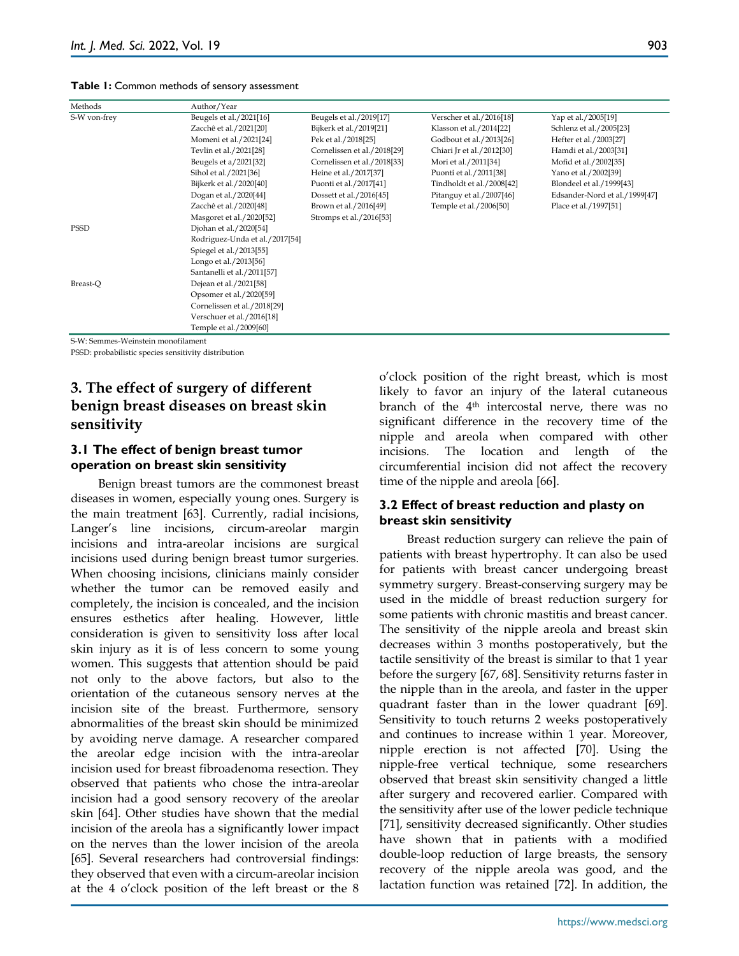**Table 1:** Common methods of sensory assessment

| Methods      | Author/Year                    |                             |                           |                               |  |  |  |  |
|--------------|--------------------------------|-----------------------------|---------------------------|-------------------------------|--|--|--|--|
| S-W von-frey | Beugels et al./2021[16]        | Beugels et al./2019[17]     | Verscher et al./2016[18]  | Yap et al./2005[19]           |  |  |  |  |
|              | Zacchê et al./2021[20]         | Bijkerk et al./2019[21]     | Klasson et al./2014[22]   | Schlenz et al./2005[23]       |  |  |  |  |
|              | Momeni et al./2021[24]         | Pek et al./2018[25]         | Godbout et al./2013[26]   | Hefter et al./2003[27]        |  |  |  |  |
|              | Tevlin et al./2021[28]         | Cornelissen et al./2018[29] | Chiari Jr et al./2012[30] | Hamdi et al./2003[31]         |  |  |  |  |
|              | Beugels et a/2021[32]          | Cornelissen et al./2018[33] | Mori et al./2011[34]      | Mofid et al./2002[35]         |  |  |  |  |
|              | Sihol et al./2021[36]          | Heine et al./2017[37]       | Puonti et al./2011[38]    | Yano et al./2002[39]          |  |  |  |  |
|              | Bijkerk et al./2020[40]        | Puonti et al./2017[41]      | Tindholdt et al./2008[42] | Blondeel et al./1999[43]      |  |  |  |  |
|              | Dogan et al./2020[44]          | Dossett et al./2016[45]     | Pitanguy et al./2007[46]  | Edsander-Nord et al./1999[47] |  |  |  |  |
|              | Zacchê et al./2020[48]         | Brown et al./2016[49]       | Temple et al./2006[50]    | Place et al./1997[51]         |  |  |  |  |
|              | Masgoret et al./2020[52]       | Stromps et al./2016[53]     |                           |                               |  |  |  |  |
| <b>PSSD</b>  | Djohan et al./2020[54]         |                             |                           |                               |  |  |  |  |
|              | Rodriguez-Unda et al./2017[54] |                             |                           |                               |  |  |  |  |
|              | Spiegel et al./2013[55]        |                             |                           |                               |  |  |  |  |
|              | Longo et al./2013[56]          |                             |                           |                               |  |  |  |  |
|              | Santanelli et al./2011[57]     |                             |                           |                               |  |  |  |  |
| Breast-O     | Dejean et al./2021[58]         |                             |                           |                               |  |  |  |  |
|              | Opsomer et al./2020[59]        |                             |                           |                               |  |  |  |  |
|              | Cornelissen et al./2018[29]    |                             |                           |                               |  |  |  |  |
|              | Verschuer et al./2016[18]      |                             |                           |                               |  |  |  |  |
|              | Temple et al./2009[60]         |                             |                           |                               |  |  |  |  |

S-W: Semmes-Weinstein monofilament

PSSD: probabilistic species sensitivity distribution

# **3. The effect of surgery of different benign breast diseases on breast skin sensitivity**

### **3.1 The effect of benign breast tumor operation on breast skin sensitivity**

Benign breast tumors are the commonest breast diseases in women, especially young ones. Surgery is the main treatment [63]. Currently, radial incisions, Langer's line incisions, circum-areolar margin incisions and intra-areolar incisions are surgical incisions used during benign breast tumor surgeries. When choosing incisions, clinicians mainly consider whether the tumor can be removed easily and completely, the incision is concealed, and the incision ensures esthetics after healing. However, little consideration is given to sensitivity loss after local skin injury as it is of less concern to some young women. This suggests that attention should be paid not only to the above factors, but also to the orientation of the cutaneous sensory nerves at the incision site of the breast. Furthermore, sensory abnormalities of the breast skin should be minimized by avoiding nerve damage. A researcher compared the areolar edge incision with the intra-areolar incision used for breast fibroadenoma resection. They observed that patients who chose the intra-areolar incision had a good sensory recovery of the areolar skin [64]. Other studies have shown that the medial incision of the areola has a significantly lower impact on the nerves than the lower incision of the areola [65]. Several researchers had controversial findings: they observed that even with a circum-areolar incision at the 4 o'clock position of the left breast or the 8

o'clock position of the right breast, which is most likely to favor an injury of the lateral cutaneous branch of the 4<sup>th</sup> intercostal nerve, there was no significant difference in the recovery time of the nipple and areola when compared with other incisions. The location and length of the circumferential incision did not affect the recovery time of the nipple and areola [66].

#### **3.2 Effect of breast reduction and plasty on breast skin sensitivity**

Breast reduction surgery can relieve the pain of patients with breast hypertrophy. It can also be used for patients with breast cancer undergoing breast symmetry surgery. Breast-conserving surgery may be used in the middle of breast reduction surgery for some patients with chronic mastitis and breast cancer. The sensitivity of the nipple areola and breast skin decreases within 3 months postoperatively, but the tactile sensitivity of the breast is similar to that 1 year before the surgery [67, 68]. Sensitivity returns faster in the nipple than in the areola, and faster in the upper quadrant faster than in the lower quadrant [69]. Sensitivity to touch returns 2 weeks postoperatively and continues to increase within 1 year. Moreover, nipple erection is not affected [70]. Using the nipple-free vertical technique, some researchers observed that breast skin sensitivity changed a little after surgery and recovered earlier. Compared with the sensitivity after use of the lower pedicle technique [71], sensitivity decreased significantly. Other studies have shown that in patients with a modified double-loop reduction of large breasts, the sensory recovery of the nipple areola was good, and the lactation function was retained [72]. In addition, the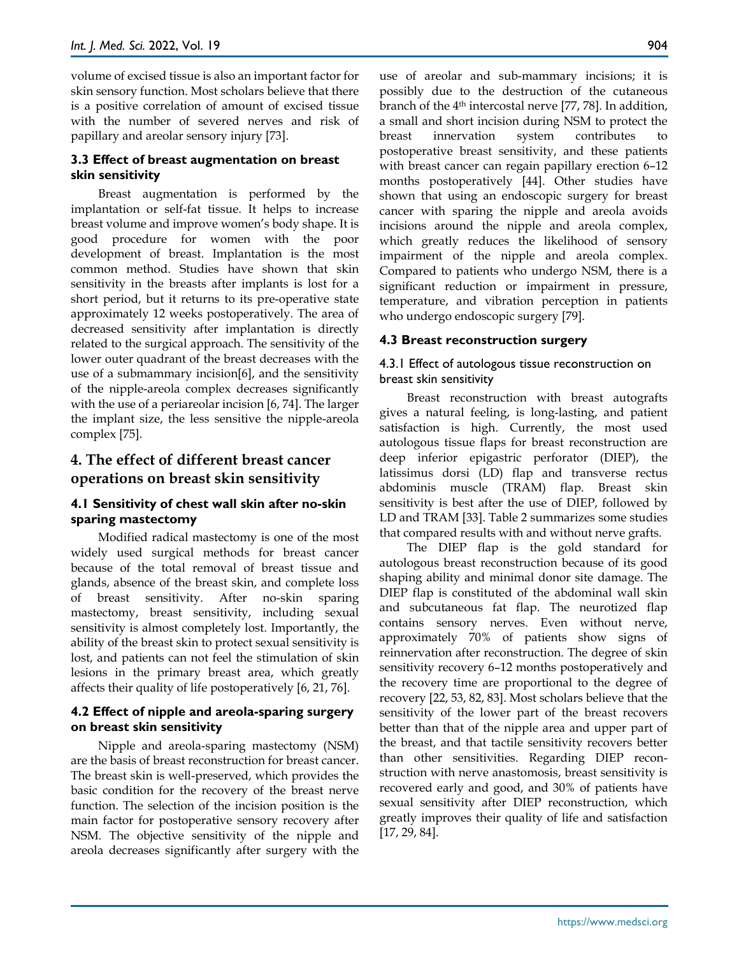volume of excised tissue is also an important factor for skin sensory function. Most scholars believe that there is a positive correlation of amount of excised tissue with the number of severed nerves and risk of papillary and areolar sensory injury [73].

#### **3.3 Effect of breast augmentation on breast skin sensitivity**

Breast augmentation is performed by the implantation or self-fat tissue. It helps to increase breast volume and improve women's body shape. It is good procedure for women with the poor development of breast. Implantation is the most common method. Studies have shown that skin sensitivity in the breasts after implants is lost for a short period, but it returns to its pre-operative state approximately 12 weeks postoperatively. The area of decreased sensitivity after implantation is directly related to the surgical approach. The sensitivity of the lower outer quadrant of the breast decreases with the use of a submammary incision[6], and the sensitivity of the nipple-areola complex decreases significantly with the use of a periareolar incision [6, 74]. The larger the implant size, the less sensitive the nipple-areola complex [75].

# **4. The effect of different breast cancer operations on breast skin sensitivity**

#### **4.1 Sensitivity of chest wall skin after no-skin sparing mastectomy**

Modified radical mastectomy is one of the most widely used surgical methods for breast cancer because of the total removal of breast tissue and glands, absence of the breast skin, and complete loss of breast sensitivity. After no-skin sparing mastectomy, breast sensitivity, including sexual sensitivity is almost completely lost. Importantly, the ability of the breast skin to protect sexual sensitivity is lost, and patients can not feel the stimulation of skin lesions in the primary breast area, which greatly affects their quality of life postoperatively [6, 21, 76].

#### **4.2 Effect of nipple and areola-sparing surgery on breast skin sensitivity**

Nipple and areola‐sparing mastectomy (NSM) are the basis of breast reconstruction for breast cancer. The breast skin is well-preserved, which provides the basic condition for the recovery of the breast nerve function. The selection of the incision position is the main factor for postoperative sensory recovery after NSM. The objective sensitivity of the nipple and areola decreases significantly after surgery with the use of areolar and sub-mammary incisions; it is possibly due to the destruction of the cutaneous branch of the 4th intercostal nerve [77, 78]. In addition, a small and short incision during NSM to protect the breast innervation system contributes postoperative breast sensitivity, and these patients with breast cancer can regain papillary erection 6–12 months postoperatively [44]. Other studies have shown that using an endoscopic surgery for breast cancer with sparing the nipple and areola avoids incisions around the nipple and areola complex, which greatly reduces the likelihood of sensory impairment of the nipple and areola complex. Compared to patients who undergo NSM, there is a significant reduction or impairment in pressure, temperature, and vibration perception in patients who undergo endoscopic surgery [79].

#### **4.3 Breast reconstruction surgery**

#### 4.3.1 Effect of autologous tissue reconstruction on breast skin sensitivity

Breast reconstruction with breast autografts gives a natural feeling, is long-lasting, and patient satisfaction is high. Currently, the most used autologous tissue flaps for breast reconstruction are deep inferior epigastric perforator (DIEP), the latissimus dorsi (LD) flap and transverse rectus abdominis muscle (TRAM) flap. Breast skin sensitivity is best after the use of DIEP, followed by LD and TRAM [33]. Table 2 summarizes some studies that compared results with and without nerve grafts.

The DIEP flap is the gold standard for autologous breast reconstruction because of its good shaping ability and minimal donor site damage. The DIEP flap is constituted of the abdominal wall skin and subcutaneous fat flap. The neurotized flap contains sensory nerves. Even without nerve, approximately 70% of patients show signs of reinnervation after reconstruction. The degree of skin sensitivity recovery 6–12 months postoperatively and the recovery time are proportional to the degree of recovery [22, 53, 82, 83]. Most scholars believe that the sensitivity of the lower part of the breast recovers better than that of the nipple area and upper part of the breast, and that tactile sensitivity recovers better than other sensitivities. Regarding DIEP reconstruction with nerve anastomosis, breast sensitivity is recovered early and good, and 30% of patients have sexual sensitivity after DIEP reconstruction, which greatly improves their quality of life and satisfaction [17, 29, 84].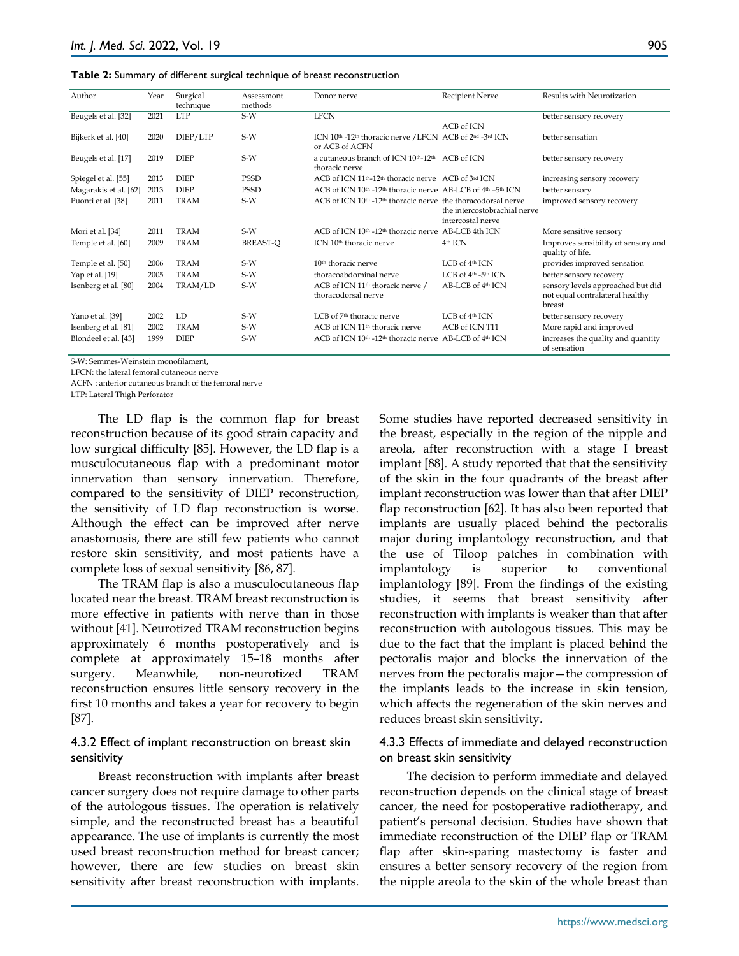#### **Table 2:** Summary of different surgical technique of breast reconstruction

| Author                | Year | Surgical<br>technique | Assessmont<br>methods | Donor nerve                                                                             | Recipient Nerve                   | Results with Neurotization          |
|-----------------------|------|-----------------------|-----------------------|-----------------------------------------------------------------------------------------|-----------------------------------|-------------------------------------|
| Beugels et al. [32]   | 2021 | <b>LTP</b>            | $S-W$                 | <b>LFCN</b>                                                                             |                                   | better sensory recovery             |
|                       |      |                       |                       |                                                                                         | ACB of ICN                        |                                     |
| Bijkerk et al. [40]   | 2020 | DIEP/LTP              | $S-W$                 | ICN 10th -12th thoracic nerve / LFCN ACB of 2nd -3rd ICN                                |                                   | better sensation                    |
|                       |      |                       |                       | or ACB of ACFN                                                                          |                                   |                                     |
| Beugels et al. [17]   | 2019 | <b>DIEP</b>           | $S-W$                 | a cutaneous branch of ICN 10th-12th ACB of ICN                                          |                                   | better sensory recovery             |
|                       |      |                       |                       | thoracic nerve                                                                          |                                   |                                     |
| Spiegel et al. [55]   | 2013 | <b>DIEP</b>           | <b>PSSD</b>           | ACB of ICN 11 <sup>th</sup> -12 <sup>th</sup> thoracic nerve ACB of 3 <sup>rd</sup> ICN |                                   | increasing sensory recovery         |
| Magarakis et al. [62] | 2013 | <b>DIEP</b>           | <b>PSSD</b>           | ACB of ICN 10th -12th thoracic nerve AB-LCB of 4th -5th ICN                             |                                   | better sensory                      |
| Puonti et al. [38]    | 2011 | <b>TRAM</b>           | $S-W$                 | ACB of ICN 10 <sup>th</sup> -12 <sup>th</sup> thoracic nerve the thoracodorsal nerve    |                                   | improved sensory recovery           |
|                       |      |                       |                       |                                                                                         | the intercostobrachial nerve      |                                     |
|                       |      |                       |                       |                                                                                         | intercostal nerve                 |                                     |
| Mori et al. [34]      | 2011 | <b>TRAM</b>           | $S-W$                 | ACB of ICN 10th -12th thoracic nerve AB-LCB 4th ICN                                     |                                   | More sensitive sensory              |
| Temple et al. [60]    | 2009 | <b>TRAM</b>           | <b>BREAST-O</b>       | ICN 10 <sup>th</sup> thoracic nerve                                                     | 4 <sup>th</sup> ICN               | Improves sensibility of sensory and |
|                       |      |                       |                       |                                                                                         |                                   | quality of life.                    |
| Temple et al. [50]    | 2006 | <b>TRAM</b>           | $S-W$                 | 10 <sup>th</sup> thoracic nerve                                                         | LCB of 4th ICN                    | provides improved sensation         |
| Yap et al. [19]       | 2005 | <b>TRAM</b>           | $S-W$                 | thoracoabdominal nerve                                                                  | LCB of $4th$ -5 <sup>th</sup> ICN | better sensory recovery             |
| Isenberg et al. [80]  | 2004 | TRAM/LD               | $S-W$                 | ACB of ICN 11 <sup>th</sup> thoracic nerve /                                            | AB-LCB of 4 <sup>th</sup> ICN     | sensory levels approached but did   |
|                       |      |                       |                       | thoracodorsal nerve                                                                     |                                   | not equal contralateral healthy     |
|                       |      |                       |                       |                                                                                         |                                   | breast                              |
| Yano et al. [39]      | 2002 | LD                    | $S-W$                 | LCB of 7 <sup>th</sup> thoracic nerve                                                   | LCB of 4th ICN                    | better sensory recovery             |
| Isenberg et al. [81]  | 2002 | <b>TRAM</b>           | $S-W$                 | ACB of ICN 11 <sup>th</sup> thoracic nerve                                              | ACB of ICN T11                    | More rapid and improved             |
| Blondeel et al. [43]  | 1999 | <b>DIEP</b>           | $S-W$                 | ACB of ICN 10th -12th thoracic nerve AB-LCB of 4th ICN                                  |                                   | increases the quality and quantity  |
|                       |      |                       |                       |                                                                                         |                                   | of sensation                        |

S-W: Semmes-Weinstein monofilament,

LFCN: the lateral femoral cutaneous nerve

ACFN : anterior cutaneous branch of the femoral nerve

LTP: Lateral Thigh Perforator

The LD flap is the common flap for breast reconstruction because of its good strain capacity and low surgical difficulty [85]. However, the LD flap is a musculocutaneous flap with a predominant motor innervation than sensory innervation. Therefore, compared to the sensitivity of DIEP reconstruction, the sensitivity of LD flap reconstruction is worse. Although the effect can be improved after nerve anastomosis, there are still few patients who cannot restore skin sensitivity, and most patients have a complete loss of sexual sensitivity [86, 87].

The TRAM flap is also a musculocutaneous flap located near the breast. TRAM breast reconstruction is more effective in patients with nerve than in those without [41]. Neurotized TRAM reconstruction begins approximately 6 months postoperatively and is complete at approximately 15–18 months after surgery. Meanwhile, non-neurotized TRAM reconstruction ensures little sensory recovery in the first 10 months and takes a year for recovery to begin [87].

#### 4.3.2 Effect of implant reconstruction on breast skin sensitivity

Breast reconstruction with implants after breast cancer surgery does not require damage to other parts of the autologous tissues. The operation is relatively simple, and the reconstructed breast has a beautiful appearance. The use of implants is currently the most used breast reconstruction method for breast cancer; however, there are few studies on breast skin sensitivity after breast reconstruction with implants.

Some studies have reported decreased sensitivity in the breast, especially in the region of the nipple and areola, after reconstruction with a stage I breast implant [88]. A study reported that that the sensitivity of the skin in the four quadrants of the breast after implant reconstruction was lower than that after DIEP flap reconstruction [62]. It has also been reported that implants are usually placed behind the pectoralis major during implantology reconstruction, and that the use of Tiloop patches in combination with implantology is superior to conventional implantology [89]. From the findings of the existing studies, it seems that breast sensitivity after reconstruction with implants is weaker than that after reconstruction with autologous tissues. This may be due to the fact that the implant is placed behind the pectoralis major and blocks the innervation of the nerves from the pectoralis major—the compression of the implants leads to the increase in skin tension, which affects the regeneration of the skin nerves and reduces breast skin sensitivity.

#### 4.3.3 Effects of immediate and delayed reconstruction on breast skin sensitivity

The decision to perform immediate and delayed reconstruction depends on the clinical stage of breast cancer, the need for postoperative radiotherapy, and patient's personal decision. Studies have shown that immediate reconstruction of the DIEP flap or TRAM flap after skin-sparing mastectomy is faster and ensures a better sensory recovery of the region from the nipple areola to the skin of the whole breast than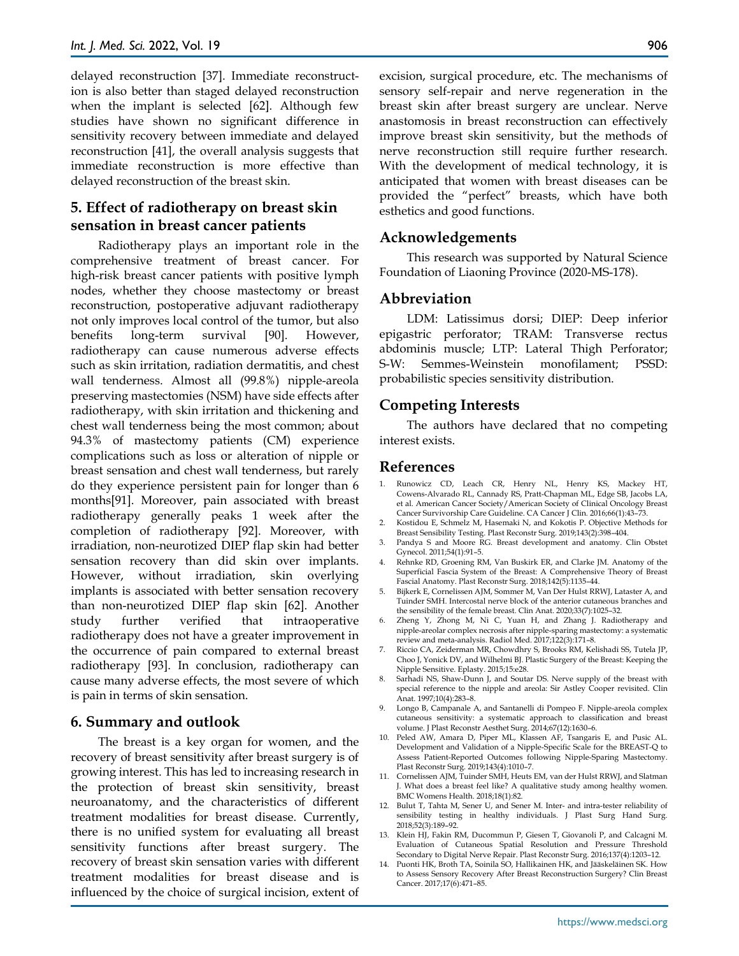delayed reconstruction [37]. Immediate reconstruction is also better than staged delayed reconstruction when the implant is selected [62]. Although few studies have shown no significant difference in sensitivity recovery between immediate and delayed reconstruction [41], the overall analysis suggests that immediate reconstruction is more effective than delayed reconstruction of the breast skin.

# **5. Effect of radiotherapy on breast skin sensation in breast cancer patients**

Radiotherapy plays an important role in the comprehensive treatment of breast cancer. For high-risk breast cancer patients with positive lymph nodes, whether they choose mastectomy or breast reconstruction, postoperative adjuvant radiotherapy not only improves local control of the tumor, but also benefits long-term survival [90]. However, radiotherapy can cause numerous adverse effects such as skin irritation, radiation dermatitis, and chest wall tenderness. Almost all (99.8%) nipple-areola preserving mastectomies (NSM) have side effects after radiotherapy, with skin irritation and thickening and chest wall tenderness being the most common; about 94.3% of mastectomy patients (CM) experience complications such as loss or alteration of nipple or breast sensation and chest wall tenderness, but rarely do they experience persistent pain for longer than 6 months[91]. Moreover, pain associated with breast radiotherapy generally peaks 1 week after the completion of radiotherapy [92]. Moreover, with irradiation, non-neurotized DIEP flap skin had better sensation recovery than did skin over implants. However, without irradiation, skin overlying implants is associated with better sensation recovery than non-neurotized DIEP flap skin [62]. Another study further verified that intraoperative radiotherapy does not have a greater improvement in the occurrence of pain compared to external breast radiotherapy [93]. In conclusion, radiotherapy can cause many adverse effects, the most severe of which is pain in terms of skin sensation.

#### **6. Summary and outlook**

The breast is a key organ for women, and the recovery of breast sensitivity after breast surgery is of growing interest. This has led to increasing research in the protection of breast skin sensitivity, breast neuroanatomy, and the characteristics of different treatment modalities for breast disease. Currently, there is no unified system for evaluating all breast sensitivity functions after breast surgery. The recovery of breast skin sensation varies with different treatment modalities for breast disease and is influenced by the choice of surgical incision, extent of

excision, surgical procedure, etc. The mechanisms of sensory self-repair and nerve regeneration in the breast skin after breast surgery are unclear. Nerve anastomosis in breast reconstruction can effectively improve breast skin sensitivity, but the methods of nerve reconstruction still require further research. With the development of medical technology, it is anticipated that women with breast diseases can be provided the "perfect" breasts, which have both esthetics and good functions.

#### **Acknowledgements**

This research was supported by Natural Science Foundation of Liaoning Province (2020-MS-178).

#### **Abbreviation**

LDM: Latissimus dorsi; DIEP: Deep inferior epigastric perforator; TRAM: Transverse rectus abdominis muscle; LTP: Lateral Thigh Perforator; S-W: Semmes-Weinstein monofilament; PSSD: probabilistic species sensitivity distribution.

#### **Competing Interests**

The authors have declared that no competing interest exists.

#### **References**

- 1. Runowicz CD, Leach CR, Henry NL, Henry KS, Mackey HT, Cowens-Alvarado RL, Cannady RS, Pratt-Chapman ML, Edge SB, Jacobs LA, et al. American Cancer Society/American Society of Clinical Oncology Breast Cancer Survivorship Care Guideline. CA Cancer J Clin. 2016;66(1):43–73.
- 2. Kostidou E, Schmelz M, Hasemaki N, and Kokotis P. Objective Methods for Breast Sensibility Testing. Plast Reconstr Surg. 2019;143(2):398–404.
- 3. Pandya S and Moore RG. Breast development and anatomy. Clin Obstet Gynecol. 2011;54(1):91–5.
- 4. Rehnke RD, Groening RM, Van Buskirk ER, and Clarke JM. Anatomy of the Superficial Fascia System of the Breast: A Comprehensive Theory of Breast Fascial Anatomy. Plast Reconstr Surg. 2018;142(5):1135–44.
- 5. Bijkerk E, Cornelissen AJM, Sommer M, Van Der Hulst RRWJ, Lataster A, and Tuinder SMH. Intercostal nerve block of the anterior cutaneous branches and the sensibility of the female breast. Clin Anat. 2020;33(7):1025–32.
- 6. Zheng Y, Zhong M, Ni C, Yuan H, and Zhang J. Radiotherapy and nipple-areolar complex necrosis after nipple-sparing mastectomy: a systematic review and meta-analysis. Radiol Med. 2017;122(3):171–8.
- 7. Riccio CA, Zeiderman MR, Chowdhry S, Brooks RM, Kelishadi SS, Tutela JP, Choo J, Yonick DV, and Wilhelmi BJ. Plastic Surgery of the Breast: Keeping the Nipple Sensitive. Eplasty. 2015;15:e28.
- 8. Sarhadi NS, Shaw-Dunn J, and Soutar DS. Nerve supply of the breast with special reference to the nipple and areola: Sir Astley Cooper revisited. Clin Anat. 1997;10(4):283–8.
- 9. Longo B, Campanale A, and Santanelli di Pompeo F. Nipple-areola complex cutaneous sensitivity: a systematic approach to classification and breast volume. J Plast Reconstr Aesthet Surg. 2014;67(12):1630–6.
- 10. Peled AW, Amara D, Piper ML, Klassen AF, Tsangaris E, and Pusic AL. Development and Validation of a Nipple-Specific Scale for the BREAST-Q to Assess Patient-Reported Outcomes following Nipple-Sparing Mastectomy. Plast Reconstr Surg. 2019;143(4):1010–7.
- 11. Cornelissen AJM, Tuinder SMH, Heuts EM, van der Hulst RRWJ, and Slatman J. What does a breast feel like? A qualitative study among healthy women. BMC Womens Health. 2018;18(1):82.
- 12. Bulut T, Tahta M, Sener U, and Sener M. Inter- and intra-tester reliability of sensibility testing in healthy individuals. J Plast Surg Hand Surg. 2018;52(3):189–92.
- 13. Klein HJ, Fakin RM, Ducommun P, Giesen T, Giovanoli P, and Calcagni M. Evaluation of Cutaneous Spatial Resolution and Pressure Threshold Secondary to Digital Nerve Repair. Plast Reconstr Surg. 2016;137(4):1203–12.
- 14. Puonti HK, Broth TA, Soinila SO, Hallikainen HK, and Jääskeläinen SK. How to Assess Sensory Recovery After Breast Reconstruction Surgery? Clin Breast Cancer. 2017;17(6):471–85.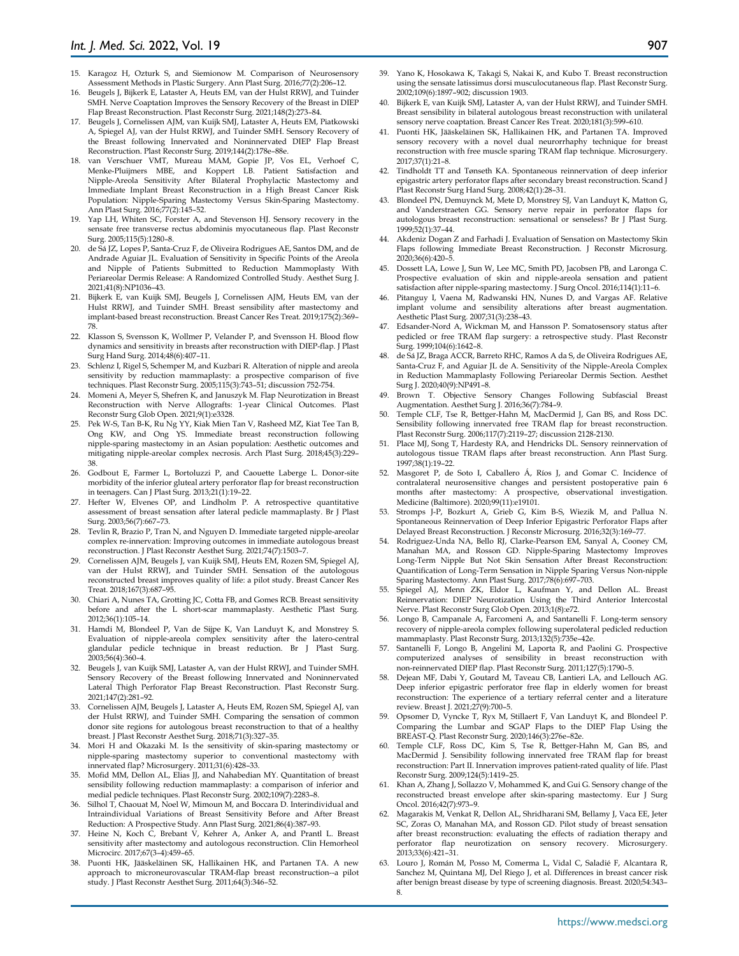- 15. Karagoz H, Ozturk S, and Siemionow M. Comparison of Neurosensory Assessment Methods in Plastic Surgery. Ann Plast Surg. 2016;77(2):206–12.
- 16. Beugels J, Bijkerk E, Lataster A, Heuts EM, van der Hulst RRWJ, and Tuinder SMH. Nerve Coaptation Improves the Sensory Recovery of the Breast in DIEP Flap Breast Reconstruction. Plast Reconstr Surg. 2021;148(2):273–84.
- 17. Beugels J, Cornelissen AJM, van Kuijk SMJ, Lataster A, Heuts EM, Piatkowski A, Spiegel AJ, van der Hulst RRWJ, and Tuinder SMH. Sensory Recovery of the Breast following Innervated and Noninnervated DIEP Flap Breast Reconstruction. Plast Reconstr Surg. 2019;144(2):178e–88e.
- 18. van Verschuer VMT, Mureau MAM, Gopie JP, Vos EL, Verhoef C, Menke-Pluijmers MBE, and Koppert LB. Patient Satisfaction and Nipple-Areola Sensitivity After Bilateral Prophylactic Mastectomy and Immediate Implant Breast Reconstruction in a High Breast Cancer Risk Population: Nipple-Sparing Mastectomy Versus Skin-Sparing Mastectomy. Ann Plast Surg. 2016;77(2):145–52.
- 19. Yap LH, Whiten SC, Forster A, and Stevenson HJ. Sensory recovery in the sensate free transverse rectus abdominis myocutaneous flap. Plast Reconstr Surg. 2005;115(5):1280–8.
- 20. de Sá JZ, Lopes P, Santa-Cruz F, de Oliveira Rodrigues AE, Santos DM, and de Andrade Aguiar JL. Evaluation of Sensitivity in Specific Points of the Areola and Nipple of Patients Submitted to Reduction Mammoplasty With Periareolar Dermis Release: A Randomized Controlled Study. Aesthet Surg J. 2021;41(8):NP1036–43.
- 21. Bijkerk E, van Kuijk SMJ, Beugels J, Cornelissen AJM, Heuts EM, van der Hulst RRWJ, and Tuinder SMH. Breast sensibility after mastectomy and implant-based breast reconstruction. Breast Cancer Res Treat. 2019;175(2):369– 78.
- 22. Klasson S, Svensson K, Wollmer P, Velander P, and Svensson H. Blood flow dynamics and sensitivity in breasts after reconstruction with DIEP-flap. J Plast Surg Hand Surg. 2014;48(6):407–11.
- 23. Schlenz I, Rigel S, Schemper M, and Kuzbari R. Alteration of nipple and areola sensitivity by reduction mammaplasty: a prospective comparison of five techniques. Plast Reconstr Surg. 2005;115(3):743–51; discussion 752-754.
- 24. Momeni A, Meyer S, Shefren K, and Januszyk M. Flap Neurotization in Breast Reconstruction with Nerve Allografts: 1-year Clinical Outcomes. Plast Reconstr Surg Glob Open. 2021;9(1):e3328.
- 25. Pek W-S, Tan B-K, Ru Ng YY, Kiak Mien Tan V, Rasheed MZ, Kiat Tee Tan B, Ong KW, and Ong YS. Immediate breast reconstruction following nipple-sparing mastectomy in an Asian population: Aesthetic outcomes and mitigating nipple-areolar complex necrosis. Arch Plast Surg. 2018;45(3):229– 38.
- 26. Godbout E, Farmer L, Bortoluzzi P, and Caouette Laberge L. Donor-site morbidity of the inferior gluteal artery perforator flap for breast reconstruction in teenagers. Can J Plast Surg. 2013;21(1):19–22.
- 27. Hefter W, Elvenes OP, and Lindholm P. A retrospective quantitative assessment of breast sensation after lateral pedicle mammaplasty. Br J Plast Surg. 2003;56(7):667–73.
- 28. Tevlin R, Brazio P, Tran N, and Nguyen D. Immediate targeted nipple-areolar complex re-innervation: Improving outcomes in immediate autologous breast reconstruction. J Plast Reconstr Aesthet Surg. 2021;74(7):1503–7.
- 29. Cornelissen AJM, Beugels J, van Kuijk SMJ, Heuts EM, Rozen SM, Spiegel AJ, van der Hulst RRWJ, and Tuinder SMH. Sensation of the autologous reconstructed breast improves quality of life: a pilot study. Breast Cancer Res Treat. 2018;167(3):687–95.
- 30. Chiari A, Nunes TA, Grotting JC, Cotta FB, and Gomes RCB. Breast sensitivity before and after the L short-scar mammaplasty. Aesthetic Plast Surg. 2012;36(1):105–14.
- 31. Hamdi M, Blondeel P, Van de Sijpe K, Van Landuyt K, and Monstrey S. Evaluation of nipple-areola complex sensitivity after the latero-central glandular pedicle technique in breast reduction. Br J Plast Surg. 2003;56(4):360–4.
- 32. Beugels J, van Kuijk SMJ, Lataster A, van der Hulst RRWJ, and Tuinder SMH. Sensory Recovery of the Breast following Innervated and Noninnervated Lateral Thigh Perforator Flap Breast Reconstruction. Plast Reconstr Surg. 2021;147(2):281–92.
- 33. Cornelissen AJM, Beugels J, Lataster A, Heuts EM, Rozen SM, Spiegel AJ, van der Hulst RRWJ, and Tuinder SMH. Comparing the sensation of common donor site regions for autologous breast reconstruction to that of a healthy breast. J Plast Reconstr Aesthet Surg. 2018;71(3):327–35.
- 34. Mori H and Okazaki M. Is the sensitivity of skin-sparing mastectomy or nipple-sparing mastectomy superior to conventional mastectomy with innervated flap? Microsurgery. 2011;31(6):428–33.
- 35. Mofid MM, Dellon AL, Elias JJ, and Nahabedian MY. Quantitation of breast sensibility following reduction mammaplasty: a comparison of inferior and medial pedicle techniques. Plast Reconstr Surg. 2002;109(7):2283–8.
- 36. Silhol T, Chaouat M, Noel W, Mimoun M, and Boccara D. Interindividual and Intraindividual Variations of Breast Sensitivity Before and After Breast Reduction: A Prospective Study. Ann Plast Surg. 2021;86(4):387–93.
- 37. Heine N, Koch C, Brebant V, Kehrer A, Anker A, and Prantl L. Breast sensitivity after mastectomy and autologous reconstruction. Clin Hemorheol Microcirc. 2017;67(3–4):459–65.
- 38. Puonti HK, Jääskeläinen SK, Hallikainen HK, and Partanen TA. A new approach to microneurovascular TRAM-flap breast reconstruction--a pilot study. J Plast Reconstr Aesthet Surg. 2011;64(3):346–52.
- 39. Yano K, Hosokawa K, Takagi S, Nakai K, and Kubo T. Breast reconstruction using the sensate latissimus dorsi musculocutaneous flap. Plast Reconstr Surg. 2002;109(6):1897–902; discussion 1903.
- 40. Bijkerk E, van Kuijk SMJ, Lataster A, van der Hulst RRWJ, and Tuinder SMH. Breast sensibility in bilateral autologous breast reconstruction with unilateral sensory nerve coaptation. Breast Cancer Res Treat. 2020;181(3):599–610.
- 41. Puonti HK, Jääskeläinen SK, Hallikainen HK, and Partanen TA. Improved sensory recovery with a novel dual neurorrhaphy technique for breast reconstruction with free muscle sparing TRAM flap technique. Microsurgery. 2017;37(1):21–8.
- 42. Tindholdt TT and Tønseth KA. Spontaneous reinnervation of deep inferior epigastric artery perforator flaps after secondary breast reconstruction. Scand J Plast Reconstr Surg Hand Surg. 2008;42(1):28–31.
- 43. Blondeel PN, Demuynck M, Mete D, Monstrey SJ, Van Landuyt K, Matton G, and Vanderstraeten GG. Sensory nerve repair in perforator flaps for autologous breast reconstruction: sensational or senseless? Br J Plast Surg. 1999;52(1):37–44.
- 44. Akdeniz Dogan Z and Farhadi J. Evaluation of Sensation on Mastectomy Skin Flaps following Immediate Breast Reconstruction. J Reconstr Microsurg. 2020;36(6):420–5.
- 45. Dossett LA, Lowe J, Sun W, Lee MC, Smith PD, Jacobsen PB, and Laronga C. Prospective evaluation of skin and nipple-areola sensation and patient satisfaction after nipple-sparing mastectomy. J Surg Oncol. 2016;114(1):11–6.
- 46. Pitanguy I, Vaena M, Radwanski HN, Nunes D, and Vargas AF. Relative implant volume and sensibility alterations after breast augmentation. Aesthetic Plast Surg. 2007;31(3):238–43.
- 47. Edsander-Nord A, Wickman M, and Hansson P. Somatosensory status after pedicled or free TRAM flap surgery: a retrospective study. Plast Reconstr Surg. 1999;104(6):1642–8.
- 48. de Sá JZ, Braga ACCR, Barreto RHC, Ramos A da S, de Oliveira Rodrigues AE, Santa-Cruz F, and Aguiar JL de A. Sensitivity of the Nipple-Areola Complex in Reduction Mammaplasty Following Periareolar Dermis Section. Aesthet Surg J. 2020;40(9):NP491–8.
- 49. Brown T. Objective Sensory Changes Following Subfascial Breast Augmentation. Aesthet Surg J. 2016;36(7):784–9.
- 50. Temple CLF, Tse R, Bettger-Hahn M, MacDermid J, Gan BS, and Ross DC. Sensibility following innervated free TRAM flap for breast reconstruction. Plast Reconstr Surg. 2006;117(7):2119–27; discussion 2128-2130.
- 51. Place MJ, Song T, Hardesty RA, and Hendricks DL. Sensory reinnervation of autologous tissue TRAM flaps after breast reconstruction. Ann Plast Surg. 1997;38(1):19–22.
- 52. Masgoret P, de Soto I, Caballero Á, Ríos J, and Gomar C. Incidence of contralateral neurosensitive changes and persistent postoperative pain 6 months after mastectomy: A prospective, observational investigation. Medicine (Baltimore). 2020;99(11):e19101.
- 53. Stromps J-P, Bozkurt A, Grieb G, Kim B-S, Wiezik M, and Pallua N. Spontaneous Reinnervation of Deep Inferior Epigastric Perforator Flaps after Delayed Breast Reconstruction. J Reconstr Microsurg. 2016;32(3):169–77.
- 54. Rodriguez-Unda NA, Bello RJ, Clarke-Pearson EM, Sanyal A, Cooney CM, Manahan MA, and Rosson GD. Nipple-Sparing Mastectomy Improves Long-Term Nipple But Not Skin Sensation After Breast Reconstruction: Quantification of Long-Term Sensation in Nipple Sparing Versus Non-nipple Sparing Mastectomy. Ann Plast Surg. 2017;78(6):697–703.
- 55. Spiegel AJ, Menn ZK, Eldor L, Kaufman Y, and Dellon AL. Breast Reinnervation: DIEP Neurotization Using the Third Anterior Intercostal Nerve. Plast Reconstr Surg Glob Open. 2013;1(8):e72.
- 56. Longo B, Campanale A, Farcomeni A, and Santanelli F. Long-term sensory recovery of nipple-areola complex following superolateral pedicled reduction mammaplasty. Plast Reconstr Surg. 2013;132(5):735e–42e.
- Santanelli F, Longo B, Angelini M, Laporta R, and Paolini G. Prospective computerized analyses of sensibility in breast reconstruction with non-reinnervated DIEP flap. Plast Reconstr Surg. 2011;127(5):1790–5.
- 58. Dejean MF, Dabi Y, Goutard M, Taveau CB, Lantieri LA, and Lellouch AG. Deep inferior epigastric perforator free flap in elderly women for breast reconstruction: The experience of a tertiary referral center and a literature review. Breast J. 2021;27(9):700–5.
- 59. Opsomer D, Vyncke T, Ryx M, Stillaert F, Van Landuyt K, and Blondeel P. Comparing the Lumbar and SGAP Flaps to the DIEP Flap Using the BREAST-Q. Plast Reconstr Surg. 2020;146(3):276e–82e.
- 60. Temple CLF, Ross DC, Kim S, Tse R, Bettger-Hahn M, Gan BS, and MacDermid J. Sensibility following innervated free TRAM flap for breast reconstruction: Part II. Innervation improves patient-rated quality of life. Plast Reconstr Surg. 2009;124(5):1419–25.
- 61. Khan A, Zhang J, Sollazzo V, Mohammed K, and Gui G. Sensory change of the reconstructed breast envelope after skin-sparing mastectomy. Eur J Surg Oncol. 2016;42(7):973–9.
- 62. Magarakis M, Venkat R, Dellon AL, Shridharani SM, Bellamy J, Vaca EE, Jeter SC, Zoras O, Manahan MA, and Rosson GD. Pilot study of breast sensation after breast reconstruction: evaluating the effects of radiation therapy and perforator flap neurotization on sensory recovery. Microsurgery.  $2013;33(6):421-31.$
- 63. Louro J, Román M, Posso M, Comerma L, Vidal C, Saladié F, Alcantara R, Sanchez M, Quintana MJ, Del Riego J, et al. Differences in breast cancer risk after benign breast disease by type of screening diagnosis. Breast. 2020;54:343– 8.